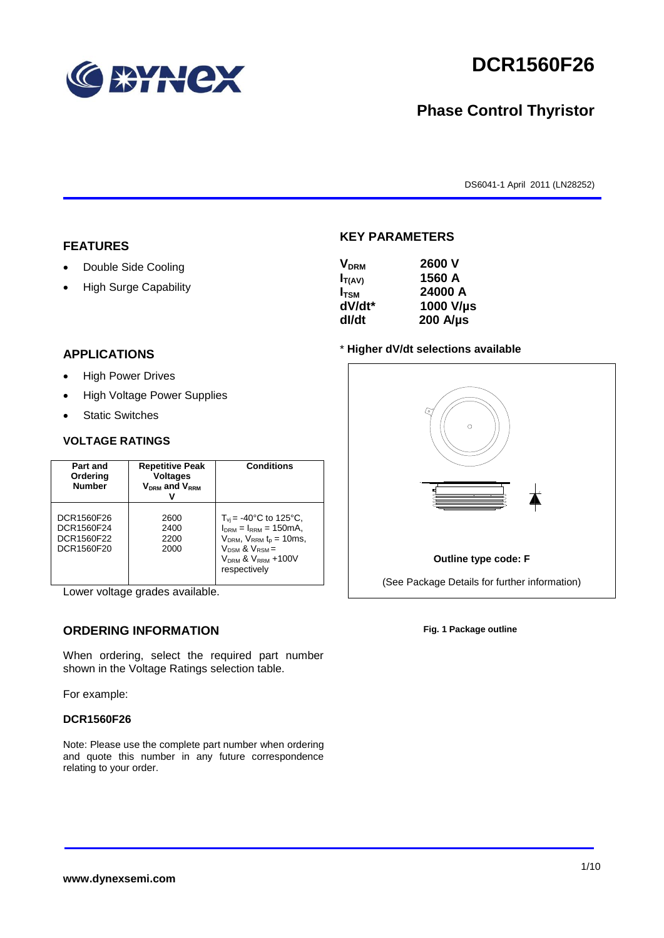

# **DCR1560F26**

# **Phase Control Thyristor**

DS6041-1 April 2011 (LN28252)

#### **FEATURES**

- Double Side Cooling
- High Surge Capability

| $I_{T(AV)}$        | 1560 A           |
|--------------------|------------------|
| $I_{TSM}$          | 24000 A          |
| dV/dt <sup>*</sup> | 1000 V/µs        |
| dl/dt              | $200$ A/ $\mu$ s |

**KEY PARAMETERS**

**VDRM 2600 V**

#### **APPLICATIONS**

- High Power Drives
- High Voltage Power Supplies
- Static Switches

#### **VOLTAGE RATINGS**

| Part and<br>Ordering<br><b>Number</b>                | <b>Repetitive Peak</b><br><b>Voltages</b><br>$V_{DRM}$ and $V_{RRM}$ | <b>Conditions</b>                                                                                                                                                                    |
|------------------------------------------------------|----------------------------------------------------------------------|--------------------------------------------------------------------------------------------------------------------------------------------------------------------------------------|
| DCR1560F26<br>DCR1560F24<br>DCR1560F22<br>DCR1560F20 | 2600<br>2400<br>2200<br>2000                                         | $T_{vi}$ = -40°C to 125°C,<br>$I_{DRM} = I_{RRM} = 150 \text{mA}$<br>$V_{DRM}$ , $V_{RRM}$ $t_{p}$ = 10ms,<br>$V_{DSM}$ & $V_{RSM}$ =<br>$V_{DRM}$ & $V_{RRM}$ +100V<br>respectively |

Lower voltage grades available.

## **ORDERING INFORMATION**

When ordering, select the required part number shown in the Voltage Ratings selection table.

For example:

#### **DCR1560F26**

Note: Please use the complete part number when ordering and quote this number in any future correspondence relating to your order.

#### \* **Higher dV/dt selections available**



**Fig. 1 Package outline**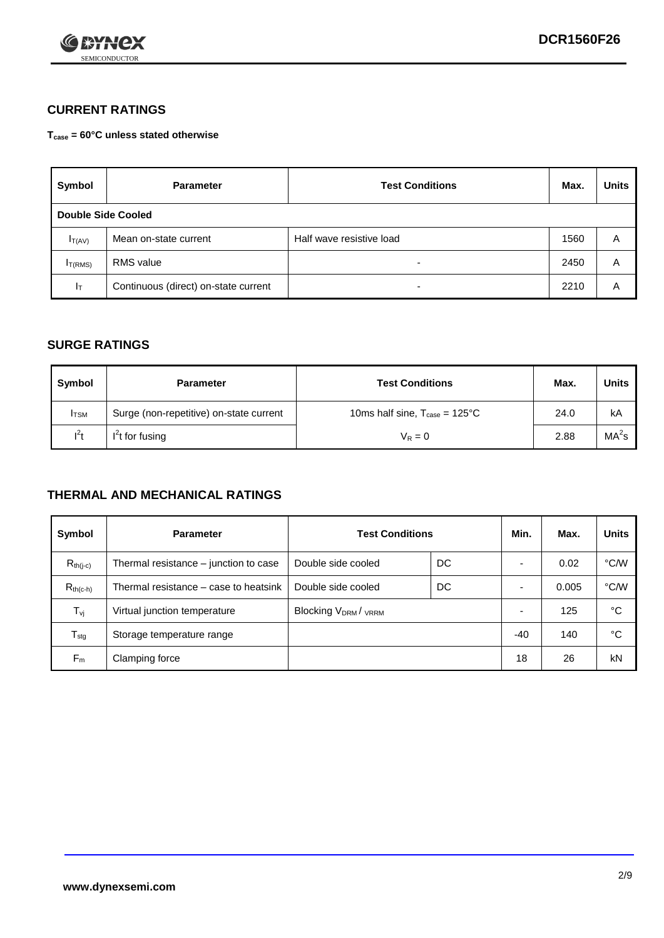

#### **CURRENT RATINGS**

**Tcase = 60°C unless stated otherwise**

| Symbol             | <b>Test Conditions</b><br><b>Parameter</b> |                          | Max. | <b>Units</b> |
|--------------------|--------------------------------------------|--------------------------|------|--------------|
| Double Side Cooled |                                            |                          |      |              |
| $I_{T(AV)}$        | Mean on-state current                      | Half wave resistive load | 1560 | A            |
| $I_{T(RMS)}$       | RMS value                                  | $\overline{\phantom{a}}$ | 2450 | Α            |
| Iт                 | Continuous (direct) on-state current       | $\overline{\phantom{a}}$ | 2210 | Α            |

#### **SURGE RATINGS**

| Symbol       | <b>Parameter</b>                        | <b>Test Conditions</b>                           | Max. | <b>Units</b>      |
|--------------|-----------------------------------------|--------------------------------------------------|------|-------------------|
| <b>I</b> TSM | Surge (non-repetitive) on-state current | 10ms half sine, $T_{\text{case}} = 125^{\circ}C$ | 24.0 | kA                |
| $l^2t$       | I <sup>2</sup> t for fusing             | $V_R = 0$                                        | 2.88 | MA <sup>2</sup> S |

#### **THERMAL AND MECHANICAL RATINGS**

| Symbol           | <b>Parameter</b>                      | <b>Test Conditions</b>                      |    | Min.                     | Max.  | <b>Units</b> |
|------------------|---------------------------------------|---------------------------------------------|----|--------------------------|-------|--------------|
| $R_{th(j-c)}$    | Thermal resistance – junction to case | Double side cooled                          | DC |                          | 0.02  | °C/W         |
| $R_{th(c-h)}$    | Thermal resistance – case to heatsink | Double side cooled                          | DC |                          | 0.005 | °C/W         |
| $T_{\nu j}$      | Virtual junction temperature          | Blocking V <sub>DRM</sub> / <sub>VRRM</sub> |    | $\overline{\phantom{0}}$ | 125   | °C           |
| $T_{\text{stg}}$ | Storage temperature range             |                                             |    | -40                      | 140   | °C           |
| $F_m$            | Clamping force                        |                                             |    | 18                       | 26    | kN           |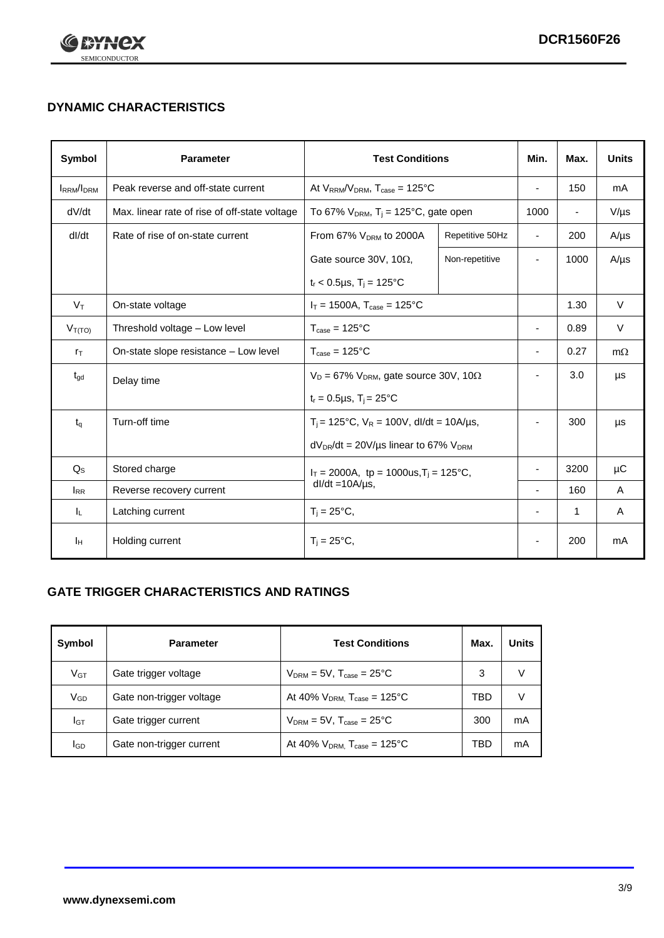

# **DYNAMIC CHARACTERISTICS**

| <b>Symbol</b>     | <b>Parameter</b>                              | <b>Test Conditions</b>                                                |                 | Min.                     | Max.                     | <b>Units</b> |
|-------------------|-----------------------------------------------|-----------------------------------------------------------------------|-----------------|--------------------------|--------------------------|--------------|
| <b>IRRM</b> /IDRM | Peak reverse and off-state current            | At $V_{RRM}/V_{DRM}$ , $T_{case} = 125^{\circ}C$                      |                 | $\blacksquare$           | 150                      | mA           |
| dV/dt             | Max. linear rate of rise of off-state voltage | To 67% $V_{DRM}$ , T <sub>i</sub> = 125°C, gate open                  |                 | 1000                     | $\overline{\phantom{a}}$ | $V/\mu s$    |
| dl/dt             | Rate of rise of on-state current              | From 67% $V_{DRM}$ to 2000A                                           | Repetitive 50Hz | $\overline{\phantom{a}}$ | 200                      | $A/\mu s$    |
|                   |                                               | Gate source 30V, 10 $\Omega$ ,                                        | Non-repetitive  | $\overline{\phantom{a}}$ | 1000                     | $A/\mu s$    |
|                   |                                               | $t_r$ < 0.5µs, $T_i$ = 125°C                                          |                 |                          |                          |              |
| $V_T$             | On-state voltage                              | $I_T = 1500A$ , $T_{case} = 125^{\circ}C$                             |                 |                          | 1.30                     | $\vee$       |
| $V_{T(TO)}$       | Threshold voltage - Low level                 | $T_{\text{case}} = 125^{\circ}C$                                      |                 |                          | 0.89                     | $\vee$       |
| $r_{\text{T}}$    | On-state slope resistance - Low level         | $T_{\text{case}} = 125^{\circ}C$                                      |                 | $\blacksquare$           | 0.27                     | $m\Omega$    |
| $t_{\rm gd}$      | Delay time                                    | $V_D = 67\%$ V <sub>DRM</sub> , gate source 30V, 10 $\Omega$          |                 | ٠                        | 3.0                      | μs           |
|                   |                                               | $t_r = 0.5 \mu s$ , $T_i = 25^{\circ}C$                               |                 |                          |                          |              |
| $t_q$             | Turn-off time                                 | $T_i$ = 125°C, $V_R$ = 100V, dl/dt = 10A/µs,                          |                 | $\overline{\phantom{a}}$ | 300                      | μs           |
|                   |                                               | $dV_{DR}/dt = 20V/\mu s$ linear to 67% $V_{DRM}$                      |                 |                          |                          |              |
| $Q_{\rm S}$       | Stored charge                                 | $I_T = 2000A$ , tp = 1000us, $T_i = 125$ °C,<br>$dl/dt = 10A/\mu s$ , |                 |                          | 3200                     | $\mu$ C      |
| $I_{RR}$          | Reverse recovery current                      |                                                                       |                 | $\blacksquare$           | 160                      | A            |
| ΙL.               | Latching current                              | $T_i = 25^{\circ}C$ ,                                                 |                 | $\overline{\phantom{a}}$ | 1                        | Α            |
| Iн                | Holding current                               | $T_i = 25^{\circ}C,$                                                  |                 |                          | 200                      | mA           |

## **GATE TRIGGER CHARACTERISTICS AND RATINGS**

| Symbol          | <b>Parameter</b>         | <b>Test Conditions</b>                       | Max. | Units |
|-----------------|--------------------------|----------------------------------------------|------|-------|
| V <sub>GT</sub> | Gate trigger voltage     | $V_{DRM}$ = 5V, $T_{case}$ = 25°C            | 3    | V     |
| $V_{GD}$        | Gate non-trigger voltage | At 40% $V_{DRM}$ , $T_{case}$ = 125°C        | TBD  | V     |
| Iст             | Gate trigger current     | $V_{DRM}$ = 5V, $T_{case}$ = 25°C            | 300  | mA    |
| <b>I</b> GD     | Gate non-trigger current | At 40% $V_{DRM}$ , $T_{case} = 125^{\circ}C$ | TBD  | mA    |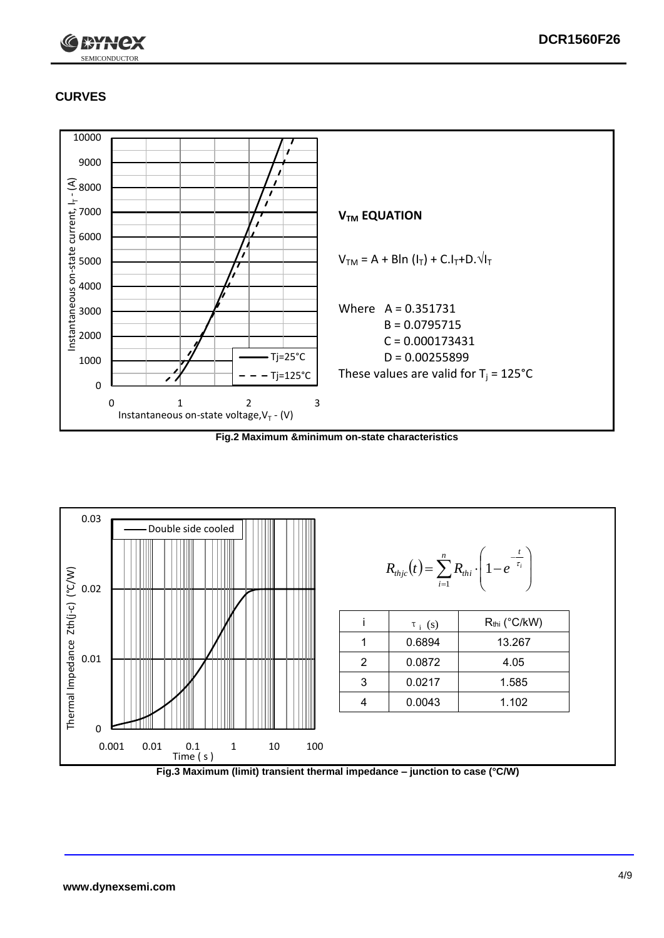

# **CURVES**



**Fig.2 Maximum &minimum on-state characteristics**



**Fig.3 Maximum (limit) transient thermal impedance – junction to case (°C/W)**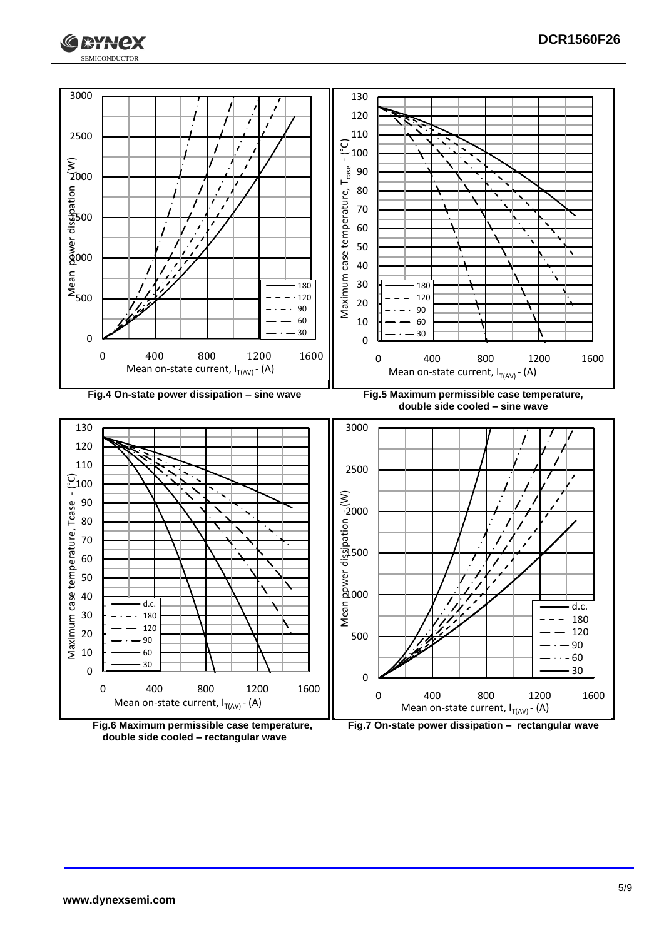





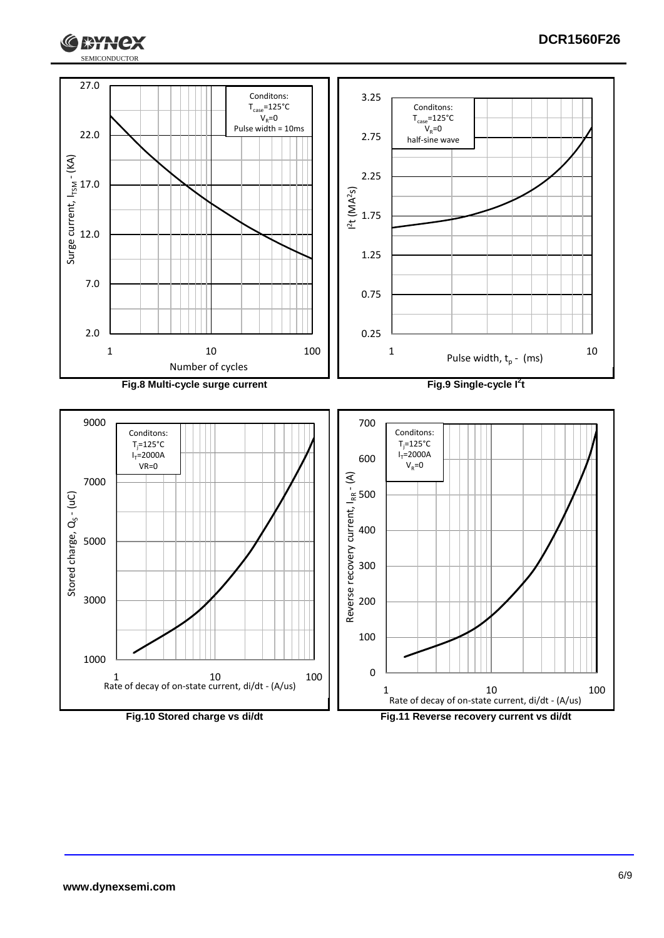



ЖАНСХ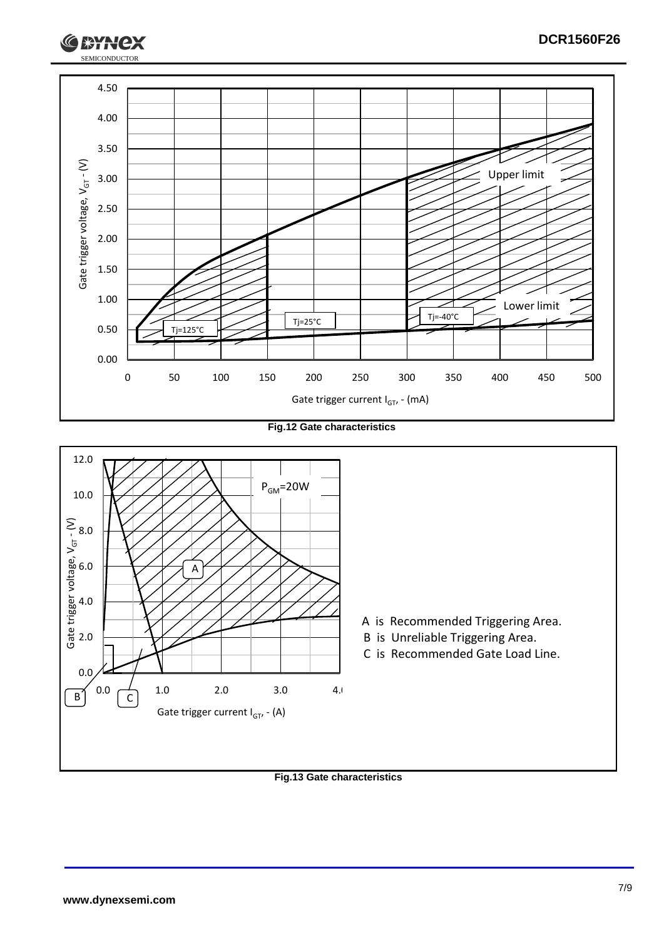

**Fig.12 Gate characteristics**



**Fig.13 Gate characteristics**

SEMICONDUCTOR

**RYH**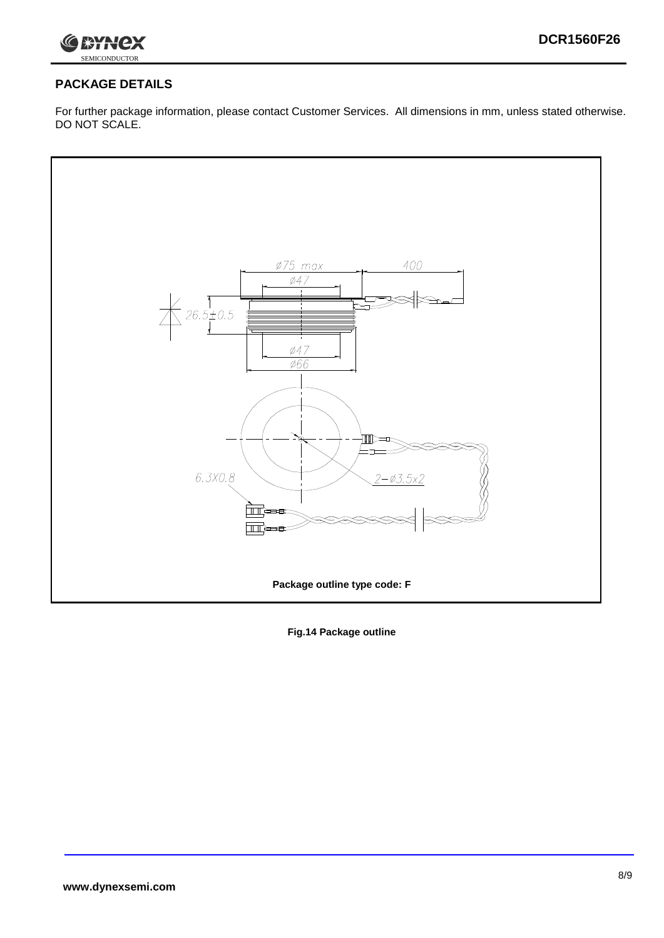

## **PACKAGE DETAILS**

For further package information, please contact Customer Services. All dimensions in mm, unless stated otherwise. DO NOT SCALE.



**Fig.14 Package outline**